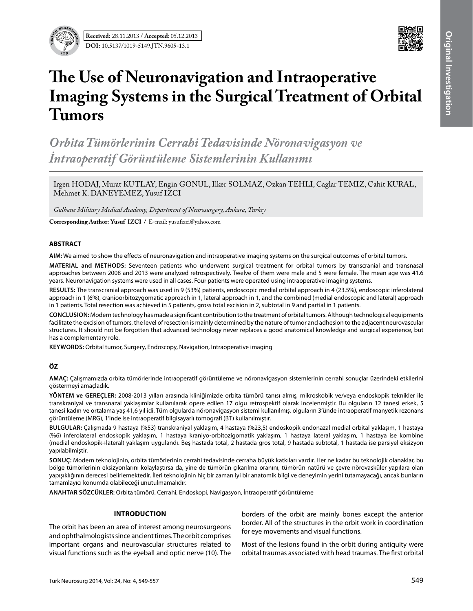



# **The Use of Neuronavigation and Intraoperative Imaging Systems in the Surgical Treatment of Orbital Tumors**

*Orbita Tümörlerinin Cerrahi Tedavisinde Nöronavigasyon ve İntraoperatif Görüntüleme Sistemlerinin Kullanımı*

Irgen HODAJ, Murat KUTLAY, Engin GONUL, Ilker SOLMAZ, Ozkan TEHLI, Caglar TEMIZ, Cahit KURAL, Mehmet K. DANEYEMEZ, Yusuf IZCI

*Gulhane Military Medical Academy, Department of Neurosurgery, Ankara, Turkey*

**Corresponding Author: Yusuf ızcı /** E-mail: yusufizci@yahoo.com

### **ABSTRACT**

**AIm:** We aimed to show the effects of neuronavigation and intraoperative imaging systems on the surgical outcomes of orbital tumors.

**MaterIal and Methods:** Seventeen patients who underwent surgical treatment for orbital tumors by transcranial and transnasal approaches between 2008 and 2013 were analyzed retrospectively. Twelve of them were male and 5 were female. The mean age was 41.6 years. Neuronavigation systems were used in all cases. Four patients were operated using intraoperative imaging systems.

**Results:** The transcranial approach was used in 9 (53%) patients, endoscopic medial orbital approach in 4 (23.5%), endoscopic inferolateral approach in 1 (6%), cranioorbitozygomatic approach in 1, lateral approach in 1, and the combined (medial endoscopic and lateral) approach in 1 patients. Total resection was achieved in 5 patients, gross total excision in 2, subtotal in 9 and partial in 1 patients.

**ConclusIon:** Modern technology has made a significant contribution to the treatment of orbital tumors. Although technological equipments facilitate the excision of tumors, the level of resection is mainly determined by the nature of tumor and adhesion to the adjacent neurovascular structures. It should not be forgotten that advanced technology never replaces a good anatomical knowledge and surgical experience, but has a complementary role.

**Keywords:** Orbital tumor, Surgery, Endoscopy, Navigation, Intraoperative imaging

## **ÖZ**

**AMAÇ:** Çalışmamızda orbita tümörlerinde intraoperatif görüntüleme ve nöronavigasyon sistemlerinin cerrahi sonuçlar üzerindeki etkilerini göstermeyi amaçladık.

**YÖNTEM ve GEREÇLER:** 2008-2013 yılları arasında kliniğimizde orbita tümörü tanısı almış, mikroskobik ve/veya endoskopik teknikler ile transkraniyal ve transnazal yaklaşımlar kullanılarak opere edilen 17 olgu retrospektif olarak incelenmiştir. Bu olguların 12 tanesi erkek, 5 tanesi kadın ve ortalama yaş 41,6 yıl idi. Tüm olgularda nöronavigasyon sistemi kullanılmış, olguların 3'ünde intraoperatif manyetik rezonans görüntüleme (MRG), 1'inde ise intraoperatif bilgisayarlı tomografi (BT) kullanılmıştır.

**BULGULAR:** Çalışmada 9 hastaya (%53) transkraniyal yaklaşım, 4 hastaya (%23,5) endoskopik endonazal medial orbital yaklaşım, 1 hastaya (%6) inferolateral endoskopik yaklaşım, 1 hastaya kraniyo-orbitozigomatik yaklaşım, 1 hastaya lateral yaklaşım, 1 hastaya ise kombine (medial endoskopik+lateral) yaklaşım uygulandı. Beş hastada total, 2 hastada gros total, 9 hastada subtotal, 1 hastada ise parsiyel eksizyon yapılabilmiştir.

**SONUÇ:** Modern teknolojinin, orbita tümörlerinin cerrahi tedavisinde cerraha büyük katkıları vardır. Her ne kadar bu teknolojik olanaklar, bu bölge tümörlerinin eksizyonlarını kolaylaştırsa da, yine de tümörün çıkarılma oranını, tümörün natürü ve çevre nörovasküler yapılara olan yapışıklığının derecesi belirlemektedir. İleri teknolojinin hiç bir zaman iyi bir anatomik bilgi ve deneyimin yerini tutamayacağı, ancak bunların tamamlayıcı konumda olabileceği unutulmamalıdır.

**ANAHTAR SÖZCÜKLER:** Orbita tümörü, Cerrahi, Endoskopi, Navigasyon, İntraoperatif görüntüleme

### **Introduction**

The orbit has been an area of interest among neurosurgeons and ophthalmologists since ancient times. The orbit comprises important organs and neurovascular structures related to visual functions such as the eyeball and optic nerve (10). The borders of the orbit are mainly bones except the anterior border. All of the structures in the orbit work in coordination for eye movements and visual functions.

Most of the lesions found in the orbit during antiquity were orbital traumas associated with head traumas. The first orbital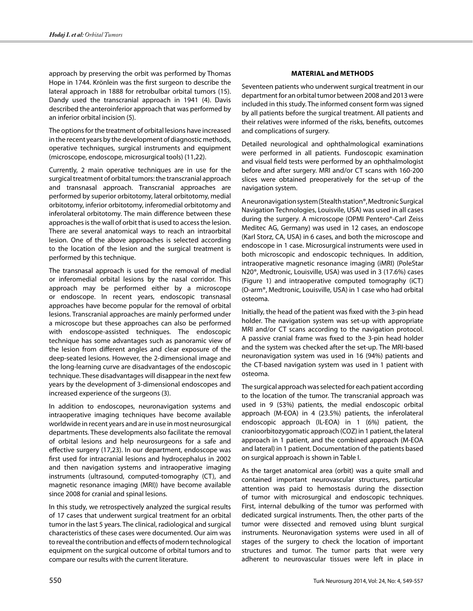approach by preserving the orbit was performed by Thomas Hope in 1744. Krönlein was the first surgeon to describe the lateral approach in 1888 for retrobulbar orbital tumors (15). Dandy used the transcranial approach in 1941 (4). Davis described the anteroinferior approach that was performed by an inferior orbital incision (5).

The options for the treatment of orbital lesions have increased in the recent years by the development of diagnostic methods, operative techniques, surgical instruments and equipment (microscope, endoscope, microsurgical tools) (11,22).

Currently, 2 main operative techniques are in use for the surgical treatment of orbital tumors: the transcranial approach and transnasal approach. Transcranial approaches are performed by superior orbitotomy, lateral orbitotomy, medial orbitotomy, inferior orbitotomy, inferomedial orbitotomy and inferolateral orbitotomy. The main difference between these approaches is the wall of orbit that is used to access the lesion. There are several anatomical ways to reach an intraorbital lesion. One of the above approaches is selected according to the location of the lesion and the surgical treatment is performed by this technique.

The transnasal approach is used for the removal of medial or inferomedial orbital lesions by the nasal corridor. This approach may be performed either by a microscope or endoscope. In recent years, endoscopic transnasal approaches have become popular for the removal of orbital lesions. Transcranial approaches are mainly performed under a microscope but these approaches can also be performed with endoscope-assisted techniques. The endoscopic technique has some advantages such as panoramic view of the lesion from different angles and clear exposure of the deep-seated lesions. However, the 2-dimensional image and the long-learning curve are disadvantages of the endoscopic technique. These disadvantages will disappear in the next few years by the development of 3-dimensional endoscopes and increased experience of the surgeons (3).

In addition to endoscopes, neuronavigation systems and intraoperative imaging techniques have become available worldwide in recent years and are in use in most neurosurgical departments. These developments also facilitate the removal of orbital lesions and help neurosurgeons for a safe and effective surgery (17,23). In our department, endoscope was first used for intracranial lesions and hydrocephalus in 2002 and then navigation systems and intraoperative imaging instruments (ultrasound, computed-tomography (CT), and magnetic resonance imaging (MRI)) have become available since 2008 for cranial and spinal lesions.

In this study, we retrospectively analyzed the surgical results of 17 cases that underwent surgical treatment for an orbital tumor in the last 5 years. The clinical, radiological and surgical characteristics of these cases were documented. Our aim was to reveal the contribution and effects of modern technological equipment on the surgical outcome of orbital tumors and to compare our results with the current literature.

## **Material and methods**

Seventeen patients who underwent surgical treatment in our department for an orbital tumor between 2008 and 2013 were included in this study. The informed consent form was signed by all patients before the surgical treatment. All patients and their relatives were informed of the risks, benefits, outcomes and complications of surgery.

Detailed neurological and ophthalmological examinations were performed in all patients. Fundoscopic examination and visual field tests were performed by an ophthalmologist before and after surgery. MRI and/or CT scans with 160-200 slices were obtained preoperatively for the set-up of the navigation system.

A neuronavigation system (Stealth station®, Medtronic Surgical Navigation Technologies, Louisvile, USA) was used in all cases during the surgery. A microscope (OPMI Pentero®-Carl Zeiss Meditec AG, Germany) was used in 12 cases, an endoscope (Karl Storz, CA, USA) in 6 cases, and both the microscope and endoscope in 1 case. Microsurgical instruments were used in both microscopic and endoscopic techniques. In addition, intraoperative magnetic resonance imaging (iMRI) (PoleStar N20®, Medtronic, Louisville, USA) was used in 3 (17.6%) cases (Figure 1) and intraoperative computed tomography (iCT) (O-arm®, Medtronic, Louisville, USA) in 1 case who had orbital osteoma.

Initially, the head of the patient was fixed with the 3-pin head holder. The navigation system was set-up with appropriate MRI and/or CT scans according to the navigation protocol. A passive cranial frame was fixed to the 3-pin head holder and the system was checked after the set-up. The MRI-based neuronavigation system was used in 16 (94%) patients and the CT-based navigation system was used in 1 patient with osteoma.

The surgical approach was selected for each patient according to the location of the tumor. The transcranial approach was used in 9 (53%) patients, the medial endoscopic orbital approach (M-EOA) in 4 (23.5%) patients, the inferolateral endoscopic approach (IL-EOA) in 1 (6%) patient, the cranioorbitozygomatic approach (COZ) in 1 patient, the lateral approach in 1 patient, and the combined approach (M-EOA and lateral) in 1 patient. Documentation of the patients based on surgical approach is shown in Table I.

As the target anatomical area (orbit) was a quite small and contained important neurovascular structures, particular attention was paid to hemostasis during the dissection of tumor with microsurgical and endoscopic techniques. First, internal debulking of the tumor was performed with dedicated surgical instruments. Then, the other parts of the tumor were dissected and removed using blunt surgical instruments. Neuronavigation systems were used in all of stages of the surgery to check the location of important structures and tumor. The tumor parts that were very adherent to neurovascular tissues were left in place in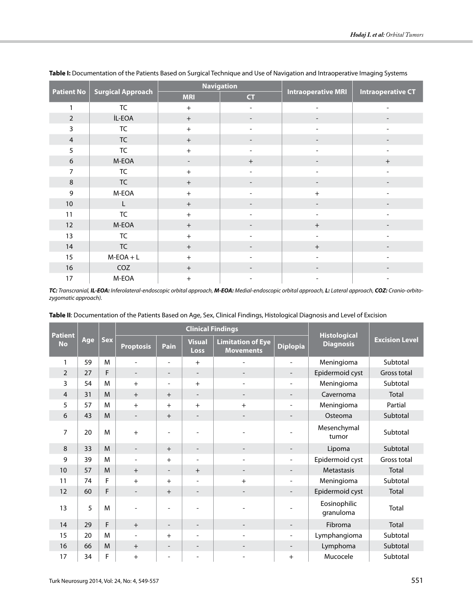|                   | <b>Surgical Approach</b>                     |                                 | <b>Navigation</b>            |                                  |                          |  |
|-------------------|----------------------------------------------|---------------------------------|------------------------------|----------------------------------|--------------------------|--|
| <b>Patient No</b> |                                              | <b>MRI</b><br><b>CT</b>         |                              | <b>Intraoperative MRI</b>        | <b>Intraoperative CT</b> |  |
| $\mathbf{1}$      | <b>TC</b>                                    | $+$                             | $\overline{\phantom{a}}$     |                                  |                          |  |
| $\overline{2}$    | İL-EOA                                       | $+$<br>$\overline{\phantom{a}}$ |                              |                                  |                          |  |
| 3                 | <b>TC</b>                                    | $+$                             | $\qquad \qquad \blacksquare$ |                                  |                          |  |
| $\overline{4}$    | <b>TC</b>                                    | $+$                             | $\overline{\phantom{a}}$     |                                  |                          |  |
| 5                 | <b>TC</b>                                    | $+$                             | $\blacksquare$               |                                  |                          |  |
| 6                 | M-EOA                                        | -                               | $\ddot{}$                    |                                  | $+$                      |  |
| 7                 | <b>TC</b>                                    | $+$                             | $\overline{\phantom{a}}$     |                                  |                          |  |
| $\,8\,$           | <b>TC</b><br>$+$<br>$\overline{\phantom{a}}$ |                                 |                              |                                  |                          |  |
| 9                 | M-EOA                                        | $+$<br>$\blacksquare$           |                              | $+$                              |                          |  |
| $10\,$            | L                                            | $\qquad \qquad +$               |                              |                                  |                          |  |
| 11                | <b>TC</b>                                    | $+$                             | $\overline{\phantom{a}}$     |                                  |                          |  |
| 12                | M-EOA                                        | $+$                             |                              | $\begin{array}{c} + \end{array}$ |                          |  |
| 13                | TC                                           | $+$                             |                              |                                  |                          |  |
| 14                | <b>TC</b>                                    | $+$                             |                              | $\begin{array}{c} + \end{array}$ |                          |  |
| 15                | $M-EOA + L$                                  | $+$                             |                              |                                  |                          |  |
| 16                | COZ                                          | $+$                             | $\overline{\phantom{a}}$     |                                  |                          |  |
| 17                | M-EOA                                        | $+$                             |                              |                                  |                          |  |

**Table I:** Documentation of the Patients Based on Surgical Technique and Use of Navigation and Intraoperative Imaging Systems

*TC: Transcranial, IL-EOA: Inferolateral-endoscopic orbital approach, M-EOA: Medial-endoscopic orbital approach, L: Lateral approach, COZ: Cranio-orbitozygomatic approach).*

| <b>Patient</b><br><b>No</b> | Age | <b>Sex</b> | <b>Clinical Findings</b> |                          |                          |                                              |                              |                                         |                       |
|-----------------------------|-----|------------|--------------------------|--------------------------|--------------------------|----------------------------------------------|------------------------------|-----------------------------------------|-----------------------|
|                             |     |            | <b>Proptosis</b>         | Pain                     | <b>Visual</b><br>Loss    | <b>Limitation of Eye</b><br><b>Movements</b> | <b>Diplopia</b>              | <b>Histological</b><br><b>Diagnosis</b> | <b>Excision Level</b> |
| 1                           | 59  | M          | $\overline{a}$           | $\overline{a}$           | $+$                      |                                              | $\overline{\phantom{a}}$     | Meningioma                              | Subtotal              |
| $\overline{2}$              | 27  | F          | $\overline{\phantom{a}}$ | $\overline{\phantom{a}}$ | $\overline{\phantom{a}}$ | $\overline{\phantom{a}}$                     | $\overline{\phantom{a}}$     | Epidermoid cyst                         | Gross total           |
| 3                           | 54  | M          | $+$                      | $\overline{a}$           | $+$                      | $\overline{\phantom{a}}$                     | $\overline{\phantom{a}}$     | Meningioma                              | Subtotal              |
| $\overline{4}$              | 31  | M          | $+$                      | $+$                      |                          |                                              | $\overline{\phantom{a}}$     | Cavernoma                               | Total                 |
| 5                           | 57  | M          | $+$                      | $+$                      | $+$                      | $^{+}$                                       |                              | Meningioma                              | Partial               |
| 6                           | 43  | M          | $\overline{\phantom{a}}$ | $+$                      | $\overline{\phantom{a}}$ | $\overline{\phantom{a}}$                     | $\overline{\phantom{a}}$     | Osteoma                                 | Subtotal              |
| 7                           | 20  | M          | $^{+}$                   |                          |                          |                                              |                              | Mesenchymal<br>tumor                    | Subtotal              |
| 8                           | 33  | M          | $\overline{\phantom{a}}$ | $+$                      |                          |                                              |                              | Lipoma                                  | Subtotal              |
| 9                           | 39  | M          | $\overline{\phantom{a}}$ | $+$                      | $\overline{\phantom{a}}$ |                                              | $\qquad \qquad \blacksquare$ | Epidermoid cyst                         | Gross total           |
| 10                          | 57  | M          | $+$                      | $\overline{\phantom{a}}$ | $+$                      | $\overline{\phantom{a}}$                     | $\overline{\phantom{a}}$     | Metastasis                              | <b>Total</b>          |
| 11                          | 74  | F          | $+$                      | $+$                      | $\overline{\phantom{a}}$ | $\ddot{}$                                    | $\overline{\phantom{a}}$     | Meningioma                              | Subtotal              |
| 12                          | 60  | F          | $\overline{\phantom{a}}$ | $+$                      | $\overline{\phantom{a}}$ |                                              | $\qquad \qquad \blacksquare$ | Epidermoid cyst                         | <b>Total</b>          |
| 13                          | 5   | M          |                          |                          |                          |                                              |                              | Eosinophilic<br>granuloma               | Total                 |
| 14                          | 29  | F          | $+$                      | $\overline{\phantom{a}}$ | $\overline{\phantom{a}}$ |                                              |                              | Fibroma                                 | Total                 |
| 15                          | 20  | M          | $\overline{\phantom{a}}$ | $+$                      | $\overline{\phantom{0}}$ |                                              | -                            | Lymphangioma                            | Subtotal              |
| 16                          | 66  | M          | $+$                      | $\overline{\phantom{a}}$ | $\overline{\phantom{a}}$ |                                              | $\overline{\phantom{a}}$     | Lymphoma                                | Subtotal              |
| 17                          | 34  | F          | $\ddot{}$                |                          |                          |                                              | $\ddot{}$                    | Mucocele                                | Subtotal              |

**Table II**: Documentation of the Patients Based on Age, Sex, Clinical Findings, Histological Diagnosis and Level of Excision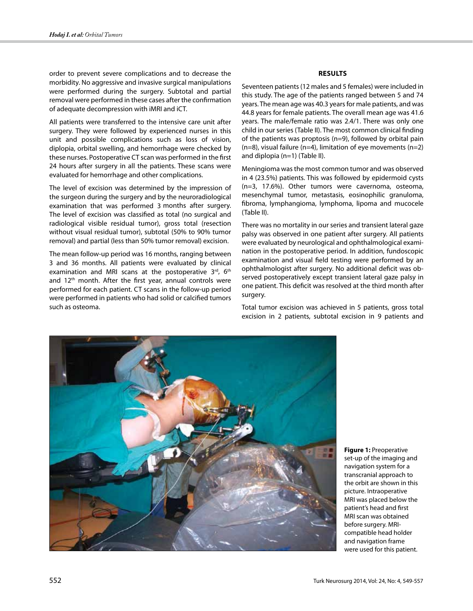order to prevent severe complications and to decrease the morbidity. No aggressive and invasive surgical manipulations were performed during the surgery. Subtotal and partial removal were performed in these cases after the confirmation of adequate decompression with iMRI and iCT.

All patients were transferred to the intensive care unit after surgery. They were followed by experienced nurses in this unit and possible complications such as loss of vision, diplopia, orbital swelling, and hemorrhage were checked by these nurses. Postoperative CT scan was performed in the first 24 hours after surgery in all the patients. These scans were evaluated for hemorrhage and other complications.

The level of excision was determined by the impression of the surgeon during the surgery and by the neuroradiological examination that was performed 3 months after surgery. The level of excision was classified as total (no surgical and radiological visible residual tumor), gross total (resection without visual residual tumor), subtotal (50% to 90% tumor removal) and partial (less than 50% tumor removal) excision.

The mean follow-up period was 16 months, ranging between 3 and 36 months. All patients were evaluated by clinical examination and MRI scans at the postoperative  $3<sup>rd</sup>$ , 6<sup>th</sup> and  $12<sup>th</sup>$  month. After the first year, annual controls were performed for each patient. CT scans in the follow-up period were performed in patients who had solid or calcified tumors such as osteoma.

## **Results**

Seventeen patients (12 males and 5 females) were included in this study. The age of the patients ranged between 5 and 74 years. The mean age was 40.3 years for male patients, and was 44.8 years for female patients. The overall mean age was 41.6 years. The male/female ratio was 2.4/1. There was only one child in our series (Table II). The most common clinical finding of the patients was proptosis (n=9), followed by orbital pain  $(n=8)$ , visual failure (n=4), limitation of eye movements (n=2) and diplopia (n=1) (Table II).

Meningioma was the most common tumor and was observed in 4 (23.5%) patients. This was followed by epidermoid cysts (n=3, 17.6%). Other tumors were cavernoma, osteoma, mesenchymal tumor, metastasis, eosinophilic granuloma, fibroma, lymphangioma, lymphoma, lipoma and mucocele (Table II).

There was no mortality in our series and transient lateral gaze palsy was observed in one patient after surgery. All patients were evaluated by neurological and ophthalmological examination in the postoperative period. In addition, fundoscopic examination and visual field testing were performed by an ophthalmologist after surgery. No additional deficit was observed postoperatively except transient lateral gaze palsy in one patient. This deficit was resolved at the third month after surgery.

Total tumor excision was achieved in 5 patients, gross total excision in 2 patients, subtotal excision in 9 patients and



**Figure 1:** Preoperative set-up of the imaging and navigation system for a transcranial approach to the orbit are shown in this picture. Intraoperative MRI was placed below the patient's head and first MRI scan was obtained before surgery. MRIcompatible head holder and navigation frame were used for this patient.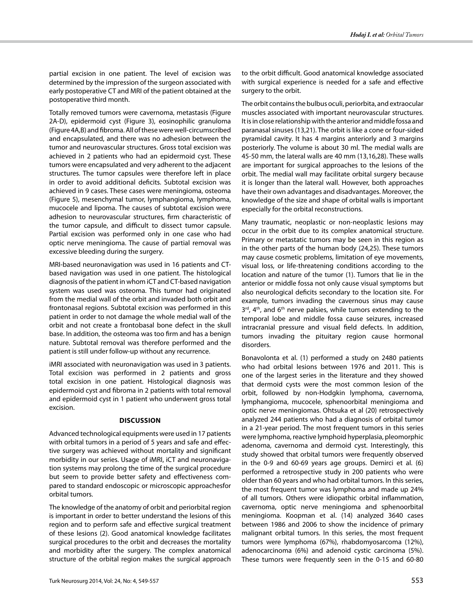partial excision in one patient. The level of excision was determined by the impression of the surgeon associated with early postoperative CT and MRI of the patient obtained at the postoperative third month.

Totally removed tumors were cavernoma, metastasis (Figure 2A-D), epidermoid cyst (Figure 3), eosinophilic granuloma (Figure 4A,B) and fibroma. All of these were well-circumscribed and encapsulated, and there was no adhesion between the tumor and neurovascular structures. Gross total excision was achieved in 2 patients who had an epidermoid cyst. These tumors were encapsulated and very adherent to the adjacent structures. The tumor capsules were therefore left in place in order to avoid additional deficits. Subtotal excision was achieved in 9 cases. These cases were meningioma, osteoma (Figure 5), mesenchymal tumor, lymphangioma, lymphoma, mucocele and lipoma. The causes of subtotal excision were adhesion to neurovascular structures, firm characteristic of the tumor capsule, and difficult to dissect tumor capsule. Partial excision was performed only in one case who had optic nerve meningioma. The cause of partial removal was excessive bleeding during the surgery.

MRI-based neuronavigation was used in 16 patients and CTbased navigation was used in one patient. The histological diagnosis of the patient in whom iCT and CT-based navigation system was used was osteoma. This tumor had originated from the medial wall of the orbit and invaded both orbit and frontonasal regions. Subtotal excision was performed in this patient in order to not damage the whole medial wall of the orbit and not create a frontobasal bone defect in the skull base. In addition, the osteoma was too firm and has a benign nature. Subtotal removal was therefore performed and the patient is still under follow-up without any recurrence.

iMRI associated with neuronavigation was used in 3 patients. Total excision was performed in 2 patients and gross total excision in one patient. Histological diagnosis was epidermoid cyst and fibroma in 2 patients with total removal and epidermoid cyst in 1 patient who underwent gross total excision.

### **Discussion**

Advanced technological equipments were used in 17 patients with orbital tumors in a period of 5 years and safe and effective surgery was achieved without mortality and significant morbidity in our series. Usage of iMRI, iCT and neuronavigation systems may prolong the time of the surgical procedure but seem to provide better safety and effectiveness compared to standard endoscopic or microscopic approachesfor orbital tumors.

The knowledge of the anatomy of orbit and periorbital region is important in order to better understand the lesions of this region and to perform safe and effective surgical treatment of these lesions (2). Good anatomical knowledge facilitates surgical procedures to the orbit and decreases the mortality and morbidity after the surgery. The complex anatomical structure of the orbital region makes the surgical approach to the orbit difficult. Good anatomical knowledge associated with surgical experience is needed for a safe and effective surgery to the orbit.

The orbit contains the bulbus oculi, periorbita, and extraocular muscles associated with important neurovascular structures. It is in close relationship with the anterior and middle fossa and paranasal sinuses (13,21). The orbit is like a cone or four-sided pyramidal cavity. It has 4 margins anteriorly and 3 margins posteriorly. The volume is about 30 ml. The medial walls are 45-50 mm, the lateral walls are 40 mm (13,16,28). These walls are important for surgical approaches to the lesions of the orbit. The medial wall may facilitate orbital surgery because it is longer than the lateral wall. However, both approaches have their own advantages and disadvantages. Moreover, the knowledge of the size and shape of orbital walls is important especially for the orbital reconstructions.

Many traumatic, neoplastic or non-neoplastic lesions may occur in the orbit due to its complex anatomical structure. Primary or metastatic tumors may be seen in this region as in the other parts of the human body (24,25). These tumors may cause cosmetic problems, limitation of eye movements, visual loss, or life-threatening conditions according to the location and nature of the tumor (1). Tumors that lie in the anterior or middle fossa not only cause visual symptoms but also neurological deficits secondary to the location site. For example, tumors invading the cavernous sinus may cause 3<sup>rd</sup>, 4<sup>th</sup>, and 6<sup>th</sup> nerve palsies, while tumors extending to the temporal lobe and middle fossa cause seizures, increased intracranial pressure and visual field defects. In addition, tumors invading the pituitary region cause hormonal disorders.

Bonavolonta et al. (1) performed a study on 2480 patients who had orbital lesions between 1976 and 2011. This is one of the largest series in the literature and they showed that dermoid cysts were the most common lesion of the orbit, followed by non-Hodgkin lymphoma, cavernoma, lymphangioma, mucocele, sphenoorbital meningioma and optic nerve meningiomas. Ohtsuka et al (20) retrospectively analyzed 244 patients who had a diagnosis of orbital tumor in a 21-year period. The most frequent tumors in this series were lymphoma, reactive lymphoid hyperplasia, pleomorphic adenoma, cavernoma and dermoid cyst. Interestingly, this study showed that orbital tumors were frequently observed in the 0-9 and 60-69 years age groups. Demirci et al. (6) performed a retrospective study in 200 patients who were older than 60 years and who had orbital tumors. In this series, the most frequent tumor was lymphoma and made up 24% of all tumors. Others were idiopathic orbital inflammation, cavernoma, optic nerve meningioma and sphenoorbital meningioma. Koopman et al. (14) analyzed 3640 cases between 1986 and 2006 to show the incidence of primary malignant orbital tumors. In this series, the most frequent tumors were lymphoma (67%), rhabdomyosarcoma (12%), adenocarcinoma (6%) and adenoid cystic carcinoma (5%). These tumors were frequently seen in the 0-15 and 60-80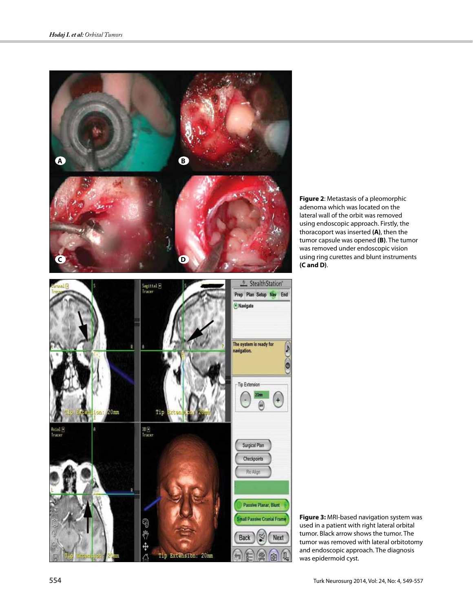

**Figure 2**: Metastasis of a pleomorphic adenoma which was located on the lateral wall of the orbit was removed using endoscopic approach. Firstly, the thoracoport was inserted **(A)**, then the tumor capsule was opened **(B)**. The tumor was removed under endoscopic vision using ring curettes and blunt instruments **(C and D)**.

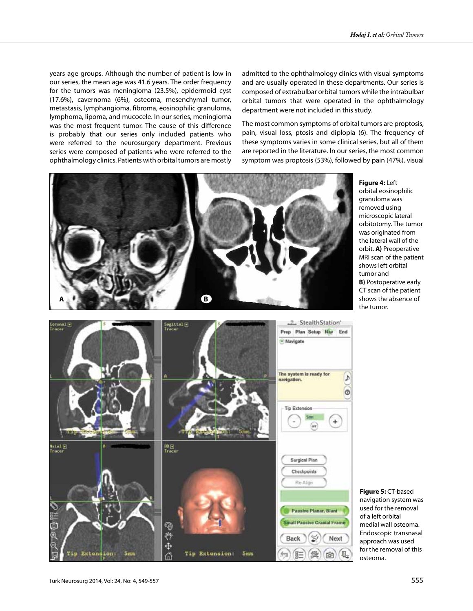years age groups. Although the number of patient is low in our series, the mean age was 41.6 years. The order frequency for the tumors was meningioma (23.5%), epidermoid cyst (17.6%), cavernoma (6%), osteoma, mesenchymal tumor, metastasis, lymphangioma, fibroma, eosinophilic granuloma, lymphoma, lipoma, and mucocele. In our series, meningioma was the most frequent tumor. The cause of this difference is probably that our series only included patients who were referred to the neurosurgery department. Previous series were composed of patients who were referred to the ophthalmology clinics. Patients with orbital tumors are mostly admitted to the ophthalmology clinics with visual symptoms and are usually operated in these departments. Our series is composed of extrabulbar orbital tumors while the intrabulbar orbital tumors that were operated in the ophthalmology department were not included in this study.

The most common symptoms of orbital tumors are proptosis, pain, visual loss, ptosis and diplopia (6). The frequency of these symptoms varies in some clinical series, but all of them are reported in the literature. In our series, the most common symptom was proptosis (53%), followed by pain (47%), visual



**Figure 4:** Left orbital eosinophilic granuloma was removed using microscopic lateral orbitotomy. The tumor was originated from the lateral wall of the orbit. **A)** Preoperative MRI scan of the patient shows left orbital tumor and **B)** Postoperative early CT scan of the patient shows the absence of the tumor.



**Figure 5:** CT-based navigation system was used for the removal of a left orbital medial wall osteoma. Endoscopic transnasal approach was used for the removal of this osteoma.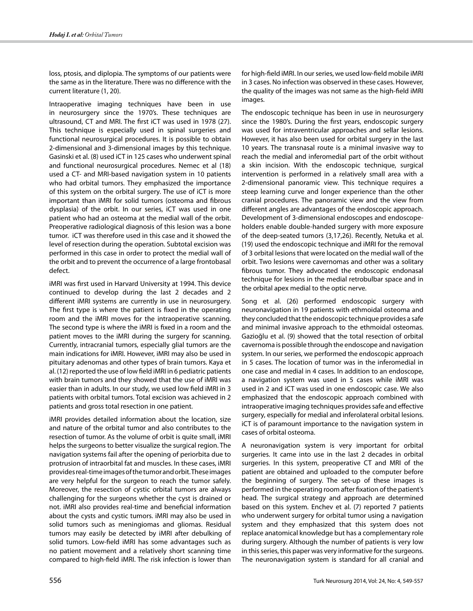loss, ptosis, and diplopia. The symptoms of our patients were the same as in the literature. There was no difference with the current literature (1, 20).

Intraoperative imaging techniques have been in use in neurosurgery since the 1970's. These techniques are ultrasound, CT and MRI. The first iCT was used in 1978 (27). This technique is especially used in spinal surgeries and functional neurosurgical procedures. It is possible to obtain 2-dimensional and 3-dimensional images by this technique. Gasinski et al. (8) used iCT in 125 cases who underwent spinal and functional neurosurgical procedures. Nemec et al (18) used a CT- and MRI-based navigation system in 10 patients who had orbital tumors. They emphasized the importance of this system on the orbital surgery. The use of iCT is more important than iMRI for solid tumors (osteoma and fibrous dysplasia) of the orbit. In our series, iCT was used in one patient who had an osteoma at the medial wall of the orbit. Preoperative radiological diagnosis of this lesion was a bone tumor. iCT was therefore used in this case and it showed the level of resection during the operation. Subtotal excision was performed in this case in order to protect the medial wall of the orbit and to prevent the occurrence of a large frontobasal defect.

iMRI was first used in Harvard University at 1994. This device continued to develop during the last 2 decades and 2 different iMRI systems are currently in use in neurosurgery. The first type is where the patient is fixed in the operating room and the iMRI moves for the intraoperative scanning. The second type is where the iMRI is fixed in a room and the patient moves to the iMRI during the surgery for scanning. Currently, intracranial tumors, especially glial tumors are the main indications for iMRI. However, iMRI may also be used in pituitary adenomas and other types of brain tumors. Kaya et al. (12) reported the use of low field iMRI in 6 pediatric patients with brain tumors and they showed that the use of iMRI was easier than in adults. In our study, we used low field iMRI in 3 patients with orbital tumors. Total excision was achieved in 2 patients and gross total resection in one patient.

iMRI provides detailed information about the location, size and nature of the orbital tumor and also contributes to the resection of tumor. As the volume of orbit is quite small, iMRI helps the surgeons to better visualize the surgical region. The navigation systems fail after the opening of periorbita due to protrusion of intraorbital fat and muscles. In these cases, iMRI provides real-time images of the tumor and orbit. These images are very helpful for the surgeon to reach the tumor safely. Moreover, the resection of cystic orbital tumors are always challenging for the surgeons whether the cyst is drained or not. iMRI also provides real-time and beneficial information about the cysts and cystic tumors. iMRI may also be used in solid tumors such as meningiomas and gliomas. Residual tumors may easily be detected by iMRI after debulking of solid tumors. Low-field iMRI has some advantages such as no patient movement and a relatively short scanning time compared to high-field iMRI. The risk infection is lower than for high-field iMRI. In our series, we used low-field mobile iMRI in 3 cases. No infection was observed in these cases. However, the quality of the images was not same as the high-field iMRI images.

The endoscopic technique has been in use in neurosurgery since the 1980's. During the first years, endoscopic surgery was used for intraventricular approaches and sellar lesions. However, it has also been used for orbital surgery in the last 10 years. The transnasal route is a minimal invasive way to reach the medial and inferomedial part of the orbit without a skin incision. With the endoscopic technique, surgical intervention is performed in a relatively small area with a 2-dimensional panoramic view. This technique requires a steep learning curve and longer experience than the other cranial procedures. The panoramic view and the view from different angles are advantages of the endoscopic approach. Development of 3-dimensional endoscopes and endoscopeholders enable double-handed surgery with more exposure of the deep-seated tumors (3,17,26). Recently, Netuka et al. (19) used the endoscopic technique and iMRI for the removal of 3 orbital lesions that were located on the medial wall of the orbit. Two lesions were cavernomas and other was a solitary fibrous tumor. They advocated the endoscopic endonasal technique for lesions in the medial retrobulbar space and in the orbital apex medial to the optic nerve.

Song et al. (26) performed endoscopic surgery with neuronavigation in 19 patients with ethmoidal osteoma and they concluded that the endoscopic technique provides a safe and minimal invasive approach to the ethmoidal osteomas. Gazioğlu et al. (9) showed that the total resection of orbital cavernoma is possible through the endoscope and navigation system. In our series, we performed the endoscopic approach in 5 cases. The location of tumor was in the inferomedial in one case and medial in 4 cases. In addition to an endoscope, a navigation system was used in 5 cases while iMRI was used in 2 and iCT was used in one endoscopic case. We also emphasized that the endoscopic approach combined with intraoperative imaging techniques provides safe and effective surgery, especially for medial and inferolateral orbital lesions. iCT is of paramount importance to the navigation system in cases of orbital osteoma.

A neuronavigation system is very important for orbital surgeries. It came into use in the last 2 decades in orbital surgeries. In this system, preoperative CT and MRI of the patient are obtained and uploaded to the computer before the beginning of surgery. The set-up of these images is performed in the operating room after fixation of the patient's head. The surgical strategy and approach are determined based on this system. Enchev et al. (7) reported 7 patients who underwent surgery for orbital tumor using a navigation system and they emphasized that this system does not replace anatomical knowledge but has a complementary role during surgery. Although the number of patients is very low in this series, this paper was very informative for the surgeons. The neuronavigation system is standard for all cranial and